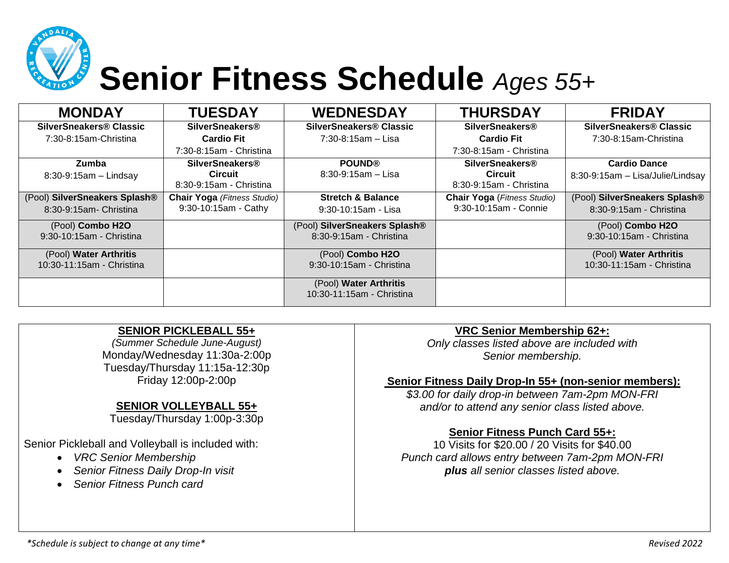

# **Senior Fitness Schedule** *Ages 55+*

| <b>MONDAY</b>                                           | <b>TUESDAY</b>                                                      | <b>WEDNESDAY</b>                                         | <b>THURSDAY</b>                                                     | <b>FRIDAY</b>                                            |
|---------------------------------------------------------|---------------------------------------------------------------------|----------------------------------------------------------|---------------------------------------------------------------------|----------------------------------------------------------|
| <b>SilverSneakers® Classic</b>                          | <b>SilverSneakers®</b>                                              | SilverSneakers® Classic                                  | <b>SilverSneakers®</b>                                              | SilverSneakers® Classic                                  |
| 7:30-8:15am-Christina                                   | <b>Cardio Fit</b>                                                   | 7:30-8:15am - Lisa                                       | <b>Cardio Fit</b>                                                   | 7:30-8:15am-Christina                                    |
|                                                         | 7:30-8:15am - Christina                                             |                                                          | 7:30-8:15am - Christina                                             |                                                          |
| <b>Zumba</b><br>$8:30-9:15am -$ Lindsay                 | <b>SilverSneakers®</b><br><b>Circuit</b><br>8:30-9:15am - Christina | <b>POUND®</b><br>$8:30 - 9:15am - Lisa$                  | <b>SilverSneakers®</b><br><b>Circuit</b><br>8:30-9:15am - Christina | <b>Cardio Dance</b><br>8:30-9:15am - Lisa/Julie/Lindsay  |
| (Pool) SilverSneakers Splash®<br>8:30-9:15am- Christina | <b>Chair Yoga</b> (Fitness Studio)<br>9:30-10:15am - Cathy          | <b>Stretch &amp; Balance</b><br>$9:30-10:15am - Lisa$    | <b>Chair Yoga</b> (Fitness Studio)<br>9:30-10:15am - Connie         | (Pool) SilverSneakers Splash®<br>8:30-9:15am - Christina |
| (Pool) Combo H2O<br>9:30-10:15am - Christina            |                                                                     | (Pool) SilverSneakers Splash®<br>8:30-9:15am - Christina |                                                                     | (Pool) Combo H2O<br>9:30-10:15am - Christina             |
| (Pool) Water Arthritis<br>10:30-11:15am - Christina     |                                                                     | (Pool) Combo H2O<br>9:30-10:15am - Christina             |                                                                     | (Pool) Water Arthritis<br>10:30-11:15am - Christina      |
|                                                         |                                                                     | (Pool) Water Arthritis<br>10:30-11:15am - Christina      |                                                                     |                                                          |

#### **SENIOR PICKLEBALL 55+**

*(Summer Schedule June-August)* Monday/Wednesday 11:30a-2:00p Tuesday/Thursday 11:15a-12:30p Friday 12:00p-2:00p

## **SENIOR VOLLEYBALL 55+**

Tuesday/Thursday 1:00p-3:30p

Senior Pickleball and Volleyball is included with:

- *VRC Senior Membership*
- *Senior Fitness Daily Drop-In visit*
- *Senior Fitness Punch card*

## **VRC Senior Membership 62+:**

*Only classes listed above are included with Senior membership.*

## **Senior Fitness Daily Drop-In 55+ (non-senior members):**

*\$3.00 for daily drop-in between 7am-2pm MON-FRI and/or to attend any senior class listed above.*

#### **Senior Fitness Punch Card 55+:**

10 Visits for \$20.00 / 20 Visits for \$40.00 *Punch card allows entry between 7am-2pm MON-FRI plus all senior classes listed above.*